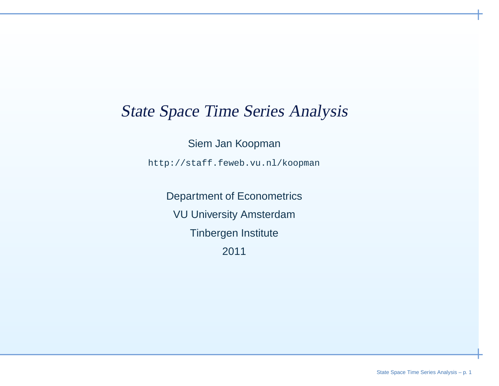### State Space Time Series Analysis

Siem Jan Koopman

http://staff.feweb.vu.nl/koopman

Department of EconometricsVU University AmsterdamTinbergen Institute2011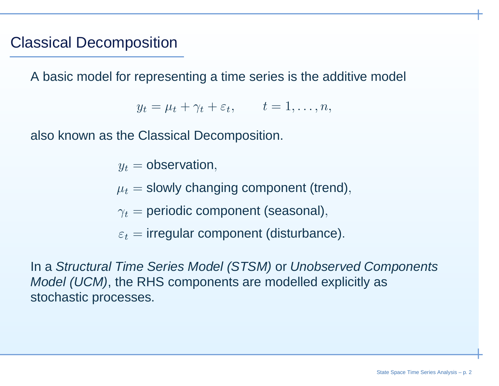### Classical Decomposition

A basic model for representing <sup>a</sup> time series is the additive model

 $y_t = \mu_t + \gamma_t + \varepsilon_t, \qquad t = 1, \ldots, n,$ 

also known as the Classical Decomposition.

 $y_t = \mathsf{observation},$ 

 $\mu_t =$  slowly changing component (trend),

 $\gamma_t =$  periodic component (seasonal),

 $\varepsilon_t =$  irregular component (disturbance).

In <sup>a</sup> Structural Time Series Model (STSM) or Unobserved Components Model (UCM), the RHS components are modelled explicitly asstochastic processes.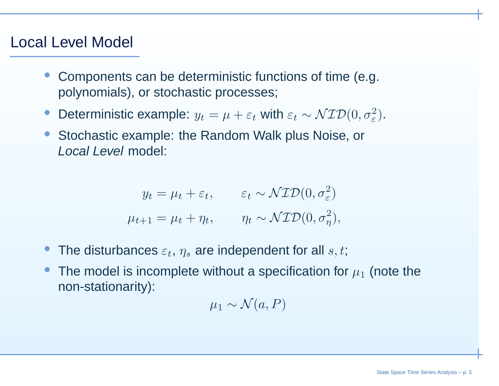### Local Level Model

- • Components can be deterministic functions of time (e.g. polynomials), or stochastic processes;
- $\bullet$ Oeterministic example:  $y_t = \mu + \varepsilon_t$  with  $\varepsilon_t \sim \mathcal{NID}(0, \sigma_{\varepsilon}^2)$ .
- • Stochastic example: the Random Walk plus Noise, orLocal Level model:

$$
y_t = \mu_t + \varepsilon_t, \qquad \varepsilon_t \sim \mathcal{NID}(0, \sigma_{\varepsilon}^2)
$$

$$
\mu_{t+1} = \mu_t + \eta_t, \qquad \eta_t \sim \mathcal{NID}(0, \sigma_{\eta}^2),
$$

- •• The disturbances  $\varepsilon_t$ ,  $\eta_s$  are independent for all  $s, t$ ;
- •• The model is incomplete without a specification for  $\mu_1$  (note the non-stationarity):

$$
\mu_1 \sim \mathcal{N}(a, P)
$$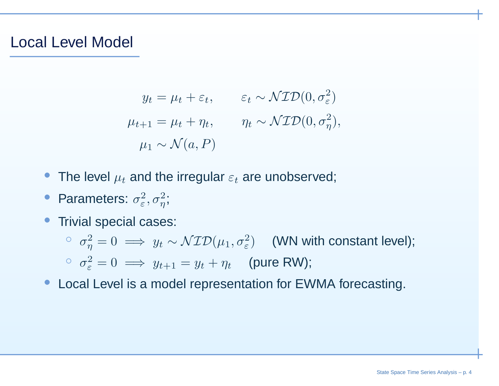#### Local Level Model

$$
y_t = \mu_t + \varepsilon_t, \qquad \varepsilon_t \sim \mathcal{NID}(0, \sigma_{\varepsilon}^2)
$$

$$
\mu_{t+1} = \mu_t + \eta_t, \qquad \eta_t \sim \mathcal{NID}(0, \sigma_{\eta}^2),
$$

$$
\mu_1 \sim \mathcal{N}(a, P)
$$

- The level  $\mu_t$  and the irregular  $\varepsilon_t$  are unobserved;
- •• Parameters:  $\sigma_{\varepsilon}^2, \sigma_{\eta}^2;$
- • Trivial special cases:
	- $σ<sub>η</sub><sup>2</sup> = 0 \implies y<sub>t</sub> ∼ \mathcal{NID}(\mu_1, σ<sub>ε</sub><sup>2</sup>)$  (WN with constant level);  $\sigma_{\varepsilon}^{2} = 0 \implies y_{t+1} = y_{t} + \eta_{t}$  (pure RW);
- Local Level is <sup>a</sup> model representation for EWMA forecasting.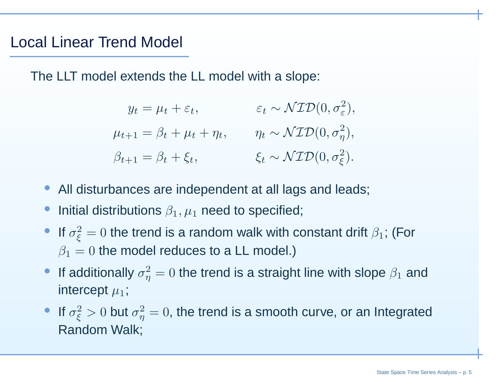#### Local Linear Trend Model

The LLT model extends the LL model with <sup>a</sup> slope:

| $y_t = \mu_t + \varepsilon_t,$          | $\varepsilon_t \sim \mathcal{NID}(0, \sigma_{\varepsilon}^2),$ |
|-----------------------------------------|----------------------------------------------------------------|
| $\mu_{t+1} = \beta_t + \mu_t + \eta_t,$ | $\eta_t \sim \mathcal{NID}(0, \sigma_\eta^2),$                 |
| $\beta_{t+1} = \beta_t + \xi_t,$        | $\xi_t \sim \mathcal{NID}(0, \sigma_{\xi}^2).$                 |

- All disturbances are independent at all lags and leads;
- •**•** Initial distributions  $\beta_1, \mu_1$  need to specified;
- If  $\sigma_{\xi}^2=0$  the trend is a random walk with constant drift  $\beta_1$ ; (For  $\beta_1=0$  the model reduces to a LL model.)
- •If additionally  $\sigma_{\eta}^2 = 0$  the trend is a straight line with slope  $\beta_1$  and intercept  $\mu_1$ ;
- If  $\sigma_{\xi}^2 > 0$  but  $\sigma_{\eta}^2 = 0$ , the trend is a smooth curve, or an Integrated Random Walk;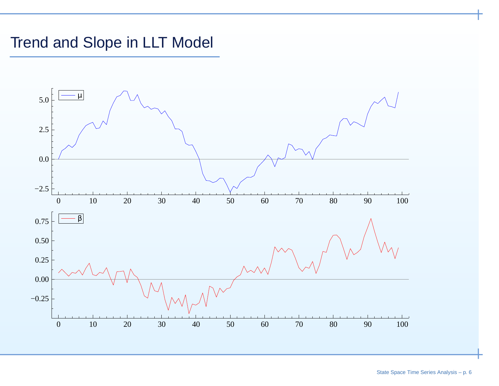# Trend and Slope in LLT Model

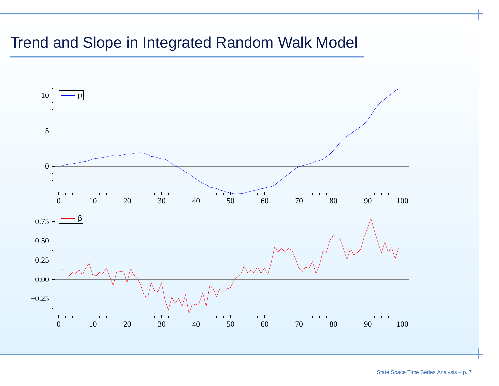## Trend and Slope in Integrated Random Walk Model

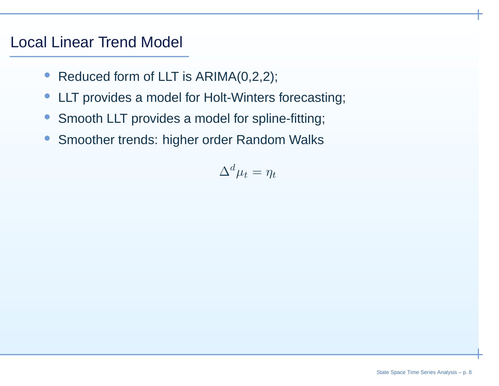### Local Linear Trend Model

- $\bullet$ Reduced form of LLT is ARIMA(0,2,2);
- $\bullet$ LLT provides <sup>a</sup> model for Holt-Winters forecasting;
- $\bullet$ Smooth LLT provides <sup>a</sup> model for spline-fitting;
- $\bullet$ Smoother trends: higher order Random Walks

$$
\Delta^d \mu_t = \eta_t
$$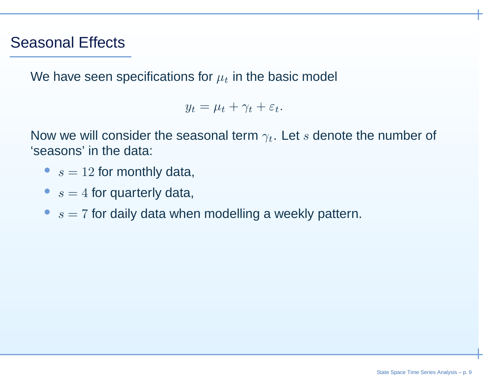### Seasonal Effects

We have seen specifications for  $\mu_t$  in the basic model

 $y_t = \mu_t + \gamma_t + \varepsilon_t.$ 

Now we will consider the seasonal term  $\gamma_t.$  Let  $s$  denote the number of  $^t$ 'seasons' in the data:

- $s = 12$  for monthly data,
- $s = 4$  for quarterly data,
- $s = 7$  for daily data when modelling a weekly pattern.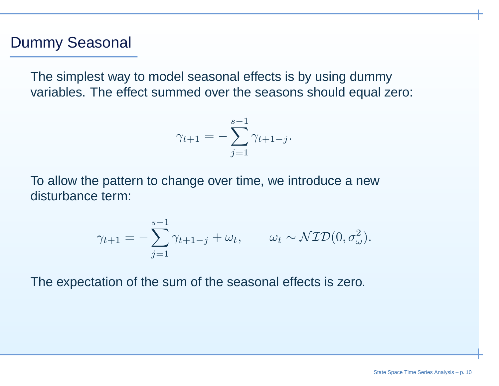#### Dummy Seasonal

The simplest way to model seasonal effects is by using dummyvariables. The effect summed over the seasons should equal zero:

$$
\gamma_{t+1} = -\sum_{j=1}^{s-1} \gamma_{t+1-j}.
$$

To allow the pattern to change over time, we introduce <sup>a</sup> newdisturbance term:

$$
\gamma_{t+1} = -\sum_{j=1}^{s-1} \gamma_{t+1-j} + \omega_t, \qquad \omega_t \sim \mathcal{NID}(0, \sigma_\omega^2).
$$

The expectation of the sum of the seasonal effects is zero.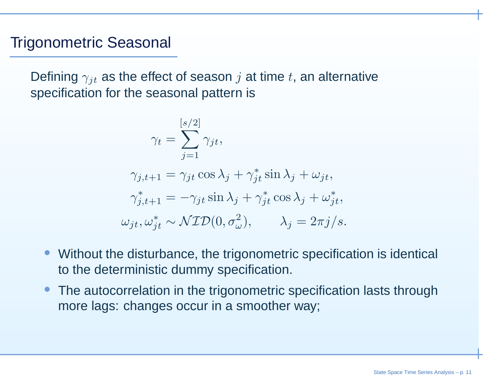#### Trigonometric Seasonal

Defining  $\gamma_{jt}$  as the effect of season  $j$  at time  $t$ , an alternative specification for the seasonal pattern is

$$
\gamma_t = \sum_{j=1}^{[s/2]} \gamma_{jt},
$$

$$
\gamma_{j,t+1} = \gamma_{jt} \cos \lambda_j + \gamma_{jt}^* \sin \lambda_j + \omega_{jt},
$$
  

$$
\gamma_{j,t+1}^* = -\gamma_{jt} \sin \lambda_j + \gamma_{jt}^* \cos \lambda_j + \omega_{jt}^*,
$$
  

$$
\omega_{jt}, \omega_{jt}^* \sim \mathcal{NID}(0, \sigma_{\omega}^2), \qquad \lambda_j = 2\pi j/s.
$$

- • Without the disturbance, the trigonometric specification is identical to the deterministic dummy specification.
- • The autocorrelation in the trigonometric specification lasts throughmore lags: changes occur in <sup>a</sup> smoother way;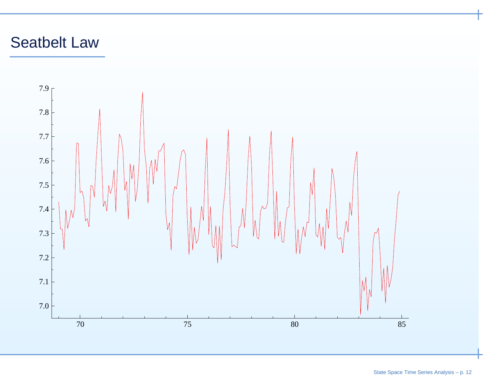# Seatbelt Law

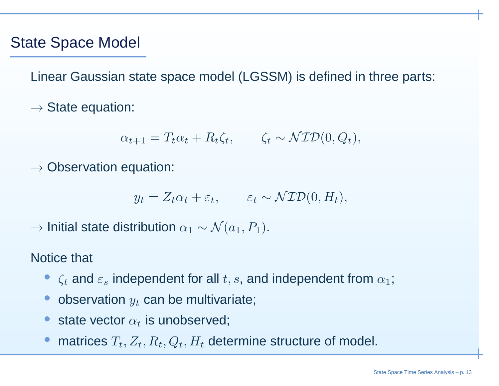### State Space Model

Linear Gaussian state space model (LGSSM) is defined in three parts:

 $\rightarrow$  State equation:

$$
\alpha_{t+1} = T_t \alpha_t + R_t \zeta_t, \qquad \zeta_t \sim \mathcal{NID}(0, Q_t),
$$

 $\rightarrow$  Observation equation:

$$
y_t = Z_t \alpha_t + \varepsilon_t, \qquad \varepsilon_t \sim \mathcal{NID}(0, H_t),
$$

 $\rightarrow$  Initial state distribution  $\alpha_1 \sim \mathcal{N}(a_1, P_1).$ 

Notice that

- $\zeta_t$  and  $\varepsilon_s$  independent for all  $t, s$ , and independent from  $\alpha_1$ ;
- •• observation  $y_t$  can be multivariate;
- •• state vector  $\alpha_t$  is unobserved;
- •• matrices  $T_t, Z_t, R_t, Q_t, H_t$  determine structure of model.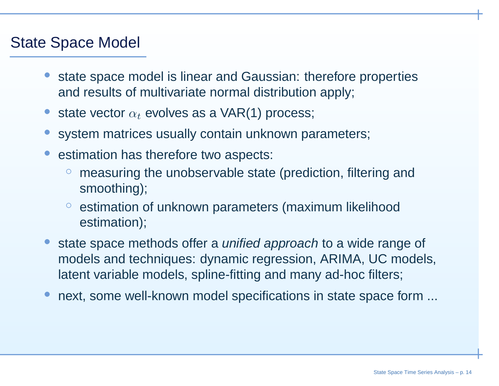### State Space Model

- • state space model is linear and Gaussian: therefore propertiesand results of multivariate normal distribution apply;
- •• state vector  $\alpha_t$  evolves as a VAR(1) process;
- •system matrices usually contain unknown parameters;
- • estimation has therefore two aspects:
	- ◦ measuring the unobservable state (prediction, filtering andsmoothing);
	- ◦ estimation of unknown parameters (maximum likelihoodestimation);
- •**state space methods offer a unified approach to a wide range of** models and techniques: dynamic regression, ARIMA, UC models, latent variable models, spline-fitting and many ad-hoc filters;
- •next, some well-known model specifications in state space form ...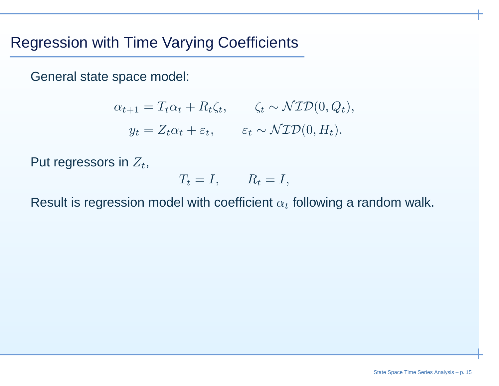## Regression with Time Varying Coefficients

General state space model:

$$
\alpha_{t+1} = T_t \alpha_t + R_t \zeta_t, \qquad \zeta_t \sim \mathcal{NID}(0, Q_t),
$$
  

$$
y_t = Z_t \alpha_t + \varepsilon_t, \qquad \varepsilon_t \sim \mathcal{NID}(0, H_t).
$$

Put regressors in  $Z_t,$ 

$$
T_t = I, \qquad R_t = I,
$$

Result is regression model with coefficient  $\alpha_t$  following a random walk.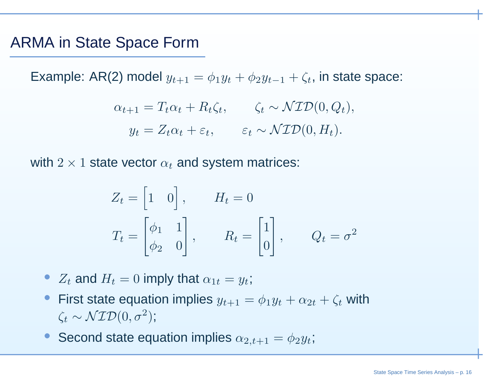#### ARMA in State Space Form

Example: AR(2) model  $y_{t+1} = \phi_1 y_t + \phi_2 y_{t-1} + \zeta_t,$  in state space:

$$
\alpha_{t+1} = T_t \alpha_t + R_t \zeta_t, \qquad \zeta_t \sim \mathcal{NID}(0, Q_t),
$$
  

$$
y_t = Z_t \alpha_t + \varepsilon_t, \qquad \varepsilon_t \sim \mathcal{NID}(0, H_t).
$$

with  $2\times1$  state vector  $\alpha_t$  and system matrices:

$$
Z_t = \begin{bmatrix} 1 & 0 \end{bmatrix}, \qquad H_t = 0
$$
  

$$
T_t = \begin{bmatrix} \phi_1 & 1 \\ \phi_2 & 0 \end{bmatrix}, \qquad R_t = \begin{bmatrix} 1 \\ 0 \end{bmatrix}, \qquad Q_t = \sigma^2
$$

- $Z_t$  and  $H_t = 0$  imply that  $\alpha_{1t} = y_t$ ;
- First state equation implies  $y_{t+1}=\phi_1y_t+\alpha_{2t}+\zeta_t$  with • $\zeta_t \sim \mathcal{NID}(0, \sigma^2)$  $^{2});$
- •Second state equation implies  $\alpha_{2,t+1}=\phi_2y_t$ ;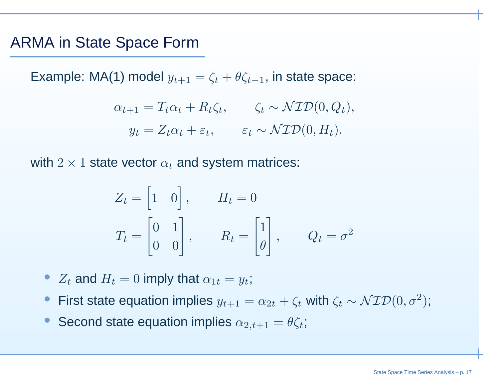#### ARMA in State Space Form

Example: MA(1) model  $y_{t+1} = \zeta_t + \theta \zeta_t$  $_{\rm -1}$ , in state space:

$$
\alpha_{t+1} = T_t \alpha_t + R_t \zeta_t, \qquad \zeta_t \sim \mathcal{NID}(0, Q_t),
$$
  

$$
y_t = Z_t \alpha_t + \varepsilon_t, \qquad \varepsilon_t \sim \mathcal{NID}(0, H_t).
$$

with  $2\times1$  state vector  $\alpha_t$  and system matrices:

$$
Z_t = \begin{bmatrix} 1 & 0 \end{bmatrix}, \qquad H_t = 0
$$
  

$$
T_t = \begin{bmatrix} 0 & 1 \ 0 & 0 \end{bmatrix}, \qquad R_t = \begin{bmatrix} 1 \ \theta \end{bmatrix}, \qquad Q_t = \sigma^2
$$

- $Z_t$  and  $H_t = 0$  imply that  $\alpha_{1t} = y_t$ ;
- •• First state equation implies  $y_{t+1} = \alpha_{2t} + \zeta_t$  with  $\zeta_t \sim \mathcal{NID}(0, \sigma^2)$  $^{2});$
- Second state equation implies  $\alpha_{2,t+1}=\theta\zeta_t$ •;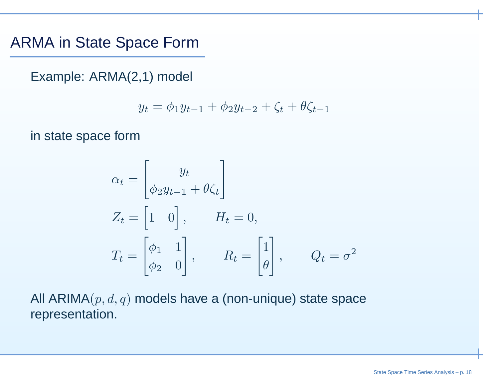#### ARMA in State Space Form

Example: ARMA(2,1) model

$$
y_t = \phi_1 y_{t-1} + \phi_2 y_{t-2} + \zeta_t + \theta \zeta_{t-1}
$$

in state space form

$$
\alpha_t = \begin{bmatrix} y_t \\ \phi_2 y_{t-1} + \theta \zeta_t \end{bmatrix}
$$
  
\n
$$
Z_t = \begin{bmatrix} 1 & 0 \end{bmatrix}, \qquad H_t = 0,
$$
  
\n
$$
T_t = \begin{bmatrix} \phi_1 & 1 \\ \phi_2 & 0 \end{bmatrix}, \qquad R_t = \begin{bmatrix} 1 \\ \theta \end{bmatrix}, \qquad Q_t = \sigma^2
$$

All ARIMA $(p,d,q)$  models have a (non-unique) state space representation.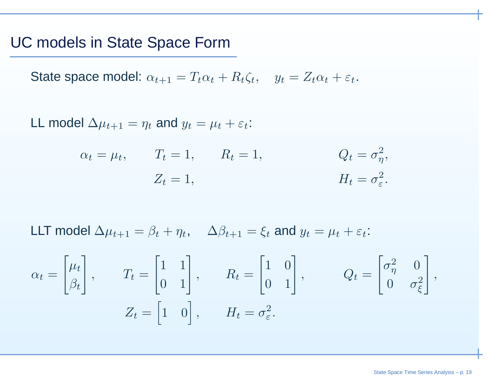#### UC models in State Space Form

State space model:  $\alpha_{t+1} = T_t \alpha_t + R_t \zeta_t$ ,  $y_t = Z_t \alpha_t + \varepsilon_t$ .

LL model  $\Delta \mu_{t+1}=\eta_t$  and  $y_t=\mu_t+\varepsilon_t$ :

$$
\alpha_t = \mu_t, \qquad T_t = 1, \qquad R_t = 1, \qquad Q_t = \sigma_\eta^2,
$$
  
 $Z_t = 1, \qquad H_t = \sigma_\varepsilon^2.$ 

LLT model  $\Delta\mu_{t+1} = \beta_t + \eta_t$ ,  $\Delta\beta_{t+1} = \xi_t$  and  $y_t = \mu_t + \varepsilon_t$ :

$$
\alpha_t = \begin{bmatrix} \mu_t \\ \beta_t \end{bmatrix}, \qquad T_t = \begin{bmatrix} 1 & 1 \\ 0 & 1 \end{bmatrix}, \qquad R_t = \begin{bmatrix} 1 & 0 \\ 0 & 1 \end{bmatrix}, \qquad Q_t = \begin{bmatrix} \sigma_{\eta}^2 & 0 \\ 0 & \sigma_{\xi}^2 \end{bmatrix},
$$

$$
Z_t = \begin{bmatrix} 1 & 0 \end{bmatrix}, \qquad H_t = \sigma_{\varepsilon}^2.
$$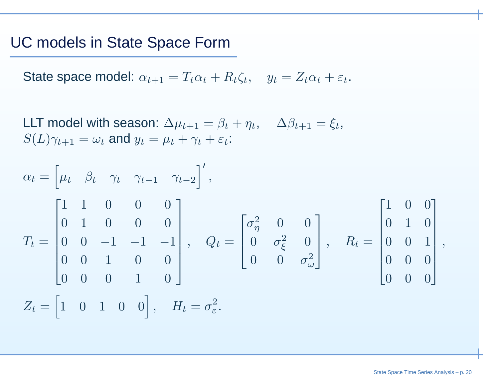#### UC models in State Space Form

State space model:  $\alpha_{t+1} = T_t \alpha_t + R_t \zeta_t$ ,  $y_t = Z_t \alpha_t + \varepsilon_t$ .

LLT model with season:  $\Delta \mu_{t+1} = \beta_t + \eta_t, \quad \Delta \beta_{t+1} = \xi_t,$  $S(L)\gamma_{t+1}=\omega_t$  and  $y_t=\mu_t+\gamma_t+\varepsilon_t$ :

$$
\alpha_{t} = \begin{bmatrix} \mu_{t} & \beta_{t} & \gamma_{t} & \gamma_{t-1} & \gamma_{t-2} \end{bmatrix}',
$$
  
\n
$$
T_{t} = \begin{bmatrix} 1 & 1 & 0 & 0 & 0 \\ 0 & 1 & 0 & 0 & 0 \\ 0 & 0 & -1 & -1 & -1 \\ 0 & 0 & 1 & 0 & 0 \\ 0 & 0 & 0 & 1 & 0 \end{bmatrix}, \quad Q_{t} = \begin{bmatrix} \sigma_{\eta}^{2} & 0 & 0 \\ 0 & \sigma_{\xi}^{2} & 0 \\ 0 & 0 & \sigma_{\omega}^{2} \end{bmatrix}, \quad R_{t} = \begin{bmatrix} 1 & 0 & 0 \\ 0 & 1 & 0 \\ 0 & 0 & 1 \\ 0 & 0 & 0 \\ 0 & 0 & 0 \end{bmatrix},
$$
  
\n
$$
Z_{t} = \begin{bmatrix} 1 & 0 & 1 & 0 & 0 \end{bmatrix}, \quad H_{t} = \sigma_{\varepsilon}^{2}.
$$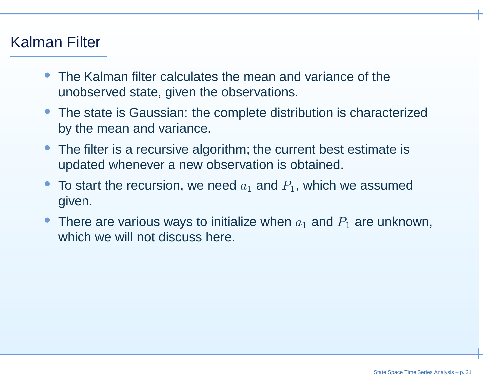### Kalman Filter

- • The Kalman filter calculates the mean and variance of theunobserved state, given the observations.
- The state is Gaussian: the complete distribution is characterizedby the mean and variance.
- The filter is <sup>a</sup> recursive algorithm; the current best estimate isupdated whenever <sup>a</sup> new observation is obtained.
- •• To start the recursion, we need  $a_1$  and  $P_1$ , which we assumed given.
- There are various ways to initialize when  $a_1$  and  $P_1$  are unknown, which we will not discuss here.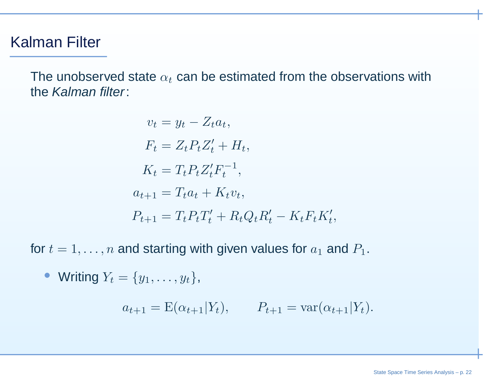### Kalman Filter

The unobserved state  $\alpha_t$  can be estimated from the observations with the *Kalman filter*:

$$
v_t = y_t - Z_t a_t,
$$
  
\n
$$
F_t = Z_t P_t Z_t' + H_t,
$$
  
\n
$$
K_t = T_t P_t Z_t' F_t^{-1},
$$
  
\n
$$
a_{t+1} = T_t a_t + K_t v_t,
$$
  
\n
$$
P_{t+1} = T_t P_t T_t' + R_t Q_t R_t' - K_t F_t K_t',
$$

for  $t=1,\ldots,n$  and starting with given values for  $a_1$  and  $P_1.$ 

• Writing 
$$
Y_t = \{y_1, \ldots, y_t\}
$$
,

$$
a_{t+1} = E(\alpha_{t+1}|Y_t), \qquad P_{t+1} = \text{var}(\alpha_{t+1}|Y_t).
$$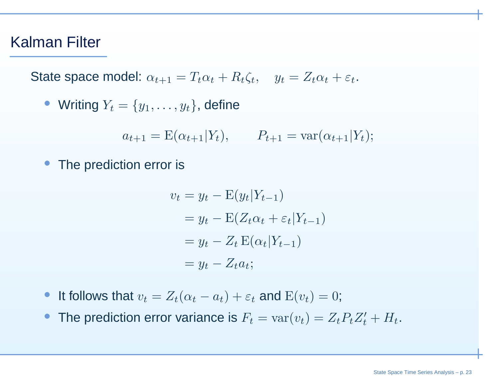#### Kalman Filter

State space model:  $\alpha_{t+1} = T_t \alpha_t + R_t \zeta_t$ ,  $y_t = Z_t \alpha_t + \varepsilon_t$ .

• Writing 
$$
Y_t = \{y_1, \ldots, y_t\}
$$
, define

$$
a_{t+1} = E(\alpha_{t+1}|Y_t), \qquad P_{t+1} = \text{var}(\alpha_{t+1}|Y_t);
$$

• The prediction error is

$$
v_t = y_t - \mathcal{E}(y_t|Y_{t-1})
$$
  
=  $y_t - \mathcal{E}(Z_t \alpha_t + \varepsilon_t |Y_{t-1})$   
=  $y_t - Z_t \mathcal{E}(\alpha_t |Y_{t-1})$   
=  $y_t - Z_t \alpha_t$ ;

- It follows that  $v_t = Z_t(\alpha_t a_t) + \varepsilon_t$  and  $\text{E}(v_t) = 0$ ;
- •• The prediction error variance is  $F_t = \text{var}(v_t) = Z_t P_t Z_t' + H_t$ .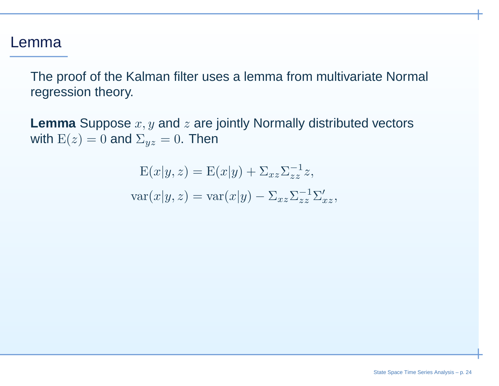#### Lemma

The proof of the Kalman filter uses <sup>a</sup> lemma from multivariate Normal regression theory.

**Lemma** Suppose  $x, y$  and  $z$  are jointly Normally distributed vectors with  $\mathrm{E}(z)=0$  and  $\Sigma_{yz}=0$ . Then

> $E(x|y, z) = E(x|y) + \Sigma_{xz}\Sigma_{zz}^{-1}z,$  $\text{var}(x|y, z) = \text{var}(x|y) - \Sigma_{xz}\Sigma_{zz}^{-1}\Sigma_{xz}',$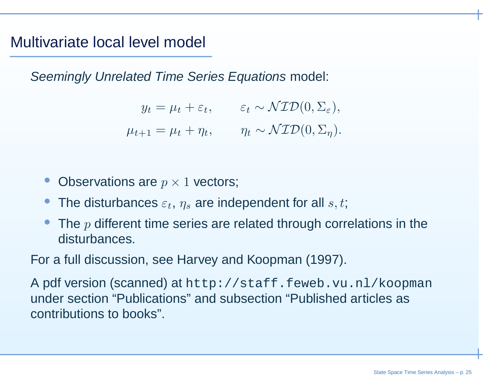### Multivariate local level model

Seemingly Unrelated Time Series Equations model:

 $y_t = \mu_t + \varepsilon_t, \qquad \varepsilon_t$  $t \sim \mathcal{NID}(0, \Sigma)$ ε), $\mu_{t+1} = \mu_t + \eta_t, \qquad \eta_t$  $\tau_t \sim \mathcal{NID}(0, \Sigma)$  $_{\eta}).$ 

- •• Observations are  $p\times1$  vectors;
- •• The disturbances  $\varepsilon_t$ ,  $\eta_s$  are independent for all  $s, t$ ;
- •• The  $p$  different time series are related through correlations in the disturbances.

For <sup>a</sup> full discussion, see Harvey and Koopman (1997).

A pdf version (scanned) at http://staff.feweb.vu.nl/koopmanunder section "Publications" and subsection "Published articles ascontributions to books".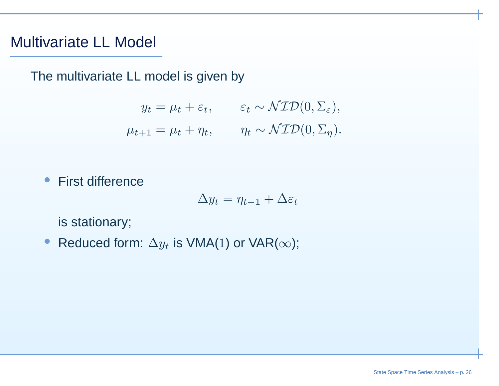### Multivariate LL Model

The multivariate LL model is given by

$$
y_t = \mu_t + \varepsilon_t, \qquad \varepsilon_t \sim \mathcal{NID}(0, \Sigma_{\varepsilon}),
$$
  

$$
\mu_{t+1} = \mu_t + \eta_t, \qquad \eta_t \sim \mathcal{NID}(0, \Sigma_{\eta}).
$$

 $\bullet$ First difference

$$
\Delta y_t = \eta_{t-1} + \Delta \varepsilon_t
$$

is stationary;

•● Reduced form:  $\Delta y_t$  is VMA(1) or VAR( $\infty$ );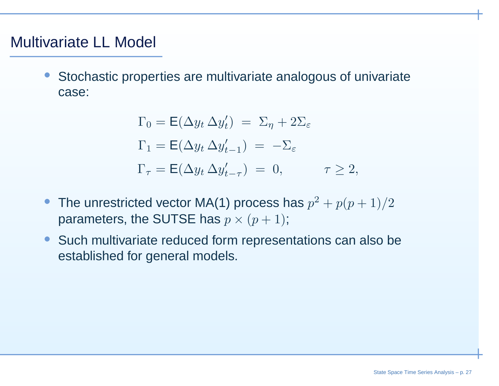### Multivariate LL Model

• Stochastic properties are multivariate analogous of univariatecase:

$$
\Gamma_0 = \mathsf{E}(\Delta y_t \, \Delta y'_t) = \Sigma_\eta + 2\Sigma_\varepsilon
$$
  
\n
$$
\Gamma_1 = \mathsf{E}(\Delta y_t \, \Delta y'_{t-1}) = -\Sigma_\varepsilon
$$
  
\n
$$
\Gamma_\tau = \mathsf{E}(\Delta y_t \, \Delta y'_{t-\tau}) = 0, \qquad \tau \ge 2,
$$

- •• The unrestricted vector MA(1) process has  $p^2 + p(p+1)/2$ parameters, the SUTSE has  $p\times (p+1)$ ;
- • Such multivariate reduced form representations can also beestablished for general models.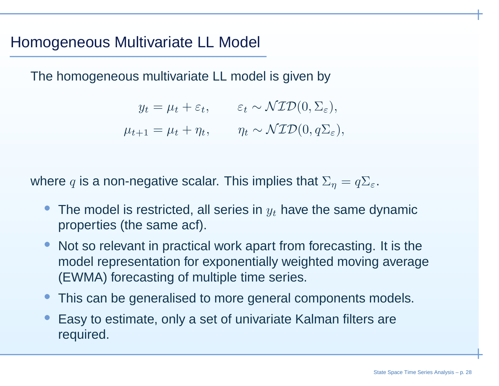### Homogeneous Multivariate LL Model

The homogeneous multivariate LL model is given by

 $y_t = \mu_t + \varepsilon_t, \qquad \varepsilon_t$  $t \sim \mathcal{NID}(0, \Sigma)$ ε), $\mu_{t+1} = \mu_t + \eta_t, \qquad \eta_t$  $t \sim \mathcal{NID}(0, q\Sigma_{\varepsilon}),$ 

where  $q$  is a non-negative scalar. This implies that  $\Sigma_\eta=q\Sigma_\varepsilon.$ 

- • $\bullet\,$  The model is restricted, all series in  $y_t$  have the same dynamic properties (the same acf).
- • Not so relevant in practical work apart from forecasting. It is the model representation for exponentially weighted moving average(EWMA) forecasting of multiple time series.
- •This can be generalised to more general components models.
- • Easy to estimate, only <sup>a</sup> set of univariate Kalman filters arerequired.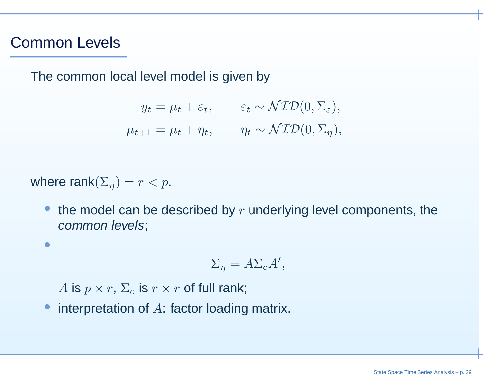#### Common Levels

•

The common local level model is given by

$$
y_t = \mu_t + \varepsilon_t, \qquad \varepsilon_t \sim \mathcal{NID}(0, \Sigma_{\varepsilon}),
$$
  

$$
\mu_{t+1} = \mu_t + \eta_t, \qquad \eta_t \sim \mathcal{NID}(0, \Sigma_{\eta}),
$$

where rank $(\Sigma_{\eta}) = r < p$ .

 $\bullet$ • the model can be described by  $r$  underlying level components, the common levels;

$$
\Sigma_{\eta} = A\Sigma_c A',
$$

 $A$  is  $p \times r$ ,  $\Sigma_c$  is  $r \times r$  of full rank;

•interpretation of <sup>A</sup>: factor loading matrix.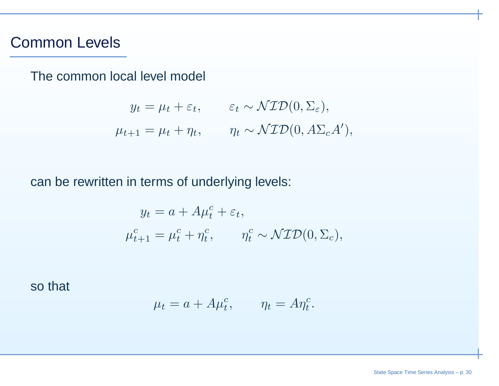#### Common Levels

The common local level model

 $y_t = \mu_t + \varepsilon_t, \qquad \varepsilon_t \sim \mathcal{NID}(0, \Sigma_\varepsilon),$  $\mu_{t+1} = \mu_t + \eta_t, \qquad \eta_t \sim \mathcal{NID}(0, A\Sigma_c A'),$ 

can be rewritten in terms of underlying levels:

$$
y_t = a + A\mu_t^c + \varepsilon_t,
$$
  

$$
\mu_{t+1}^c = \mu_t^c + \eta_t^c, \qquad \eta_t^c \sim \mathcal{NID}(0, \Sigma_c),
$$

so that

$$
\mu_t = a + A\mu_t^c, \qquad \eta_t = A\eta_t^c.
$$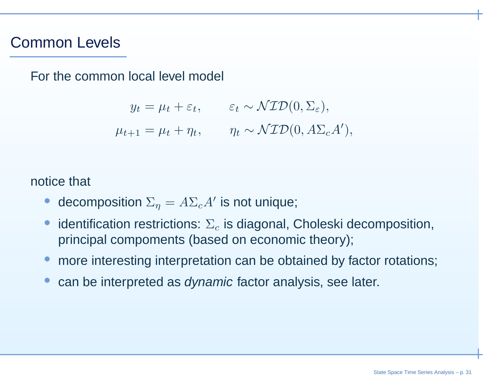#### Common Levels

For the common local level model

 $y_t = \mu_t + \varepsilon_t, \qquad \varepsilon_t \sim \mathcal{NID}(0, \Sigma_\varepsilon),$  $\mu_{t+1} = \mu_t + \eta_t, \qquad \eta_t \sim \mathcal{NID}(0, A\Sigma_c A'),$ 

notice that

- •• decomposition  $\Sigma_\eta = A \Sigma_c A'$  is not unique;
- •• identification restrictions:  $\Sigma_c$  is diagonal, Choleski decomposition, principal compoments (based on economic theory);
- •more interesting interpretation can be obtained by factor rotations;
- •**•** can be interpreted as *dynamic* factor analysis, see later.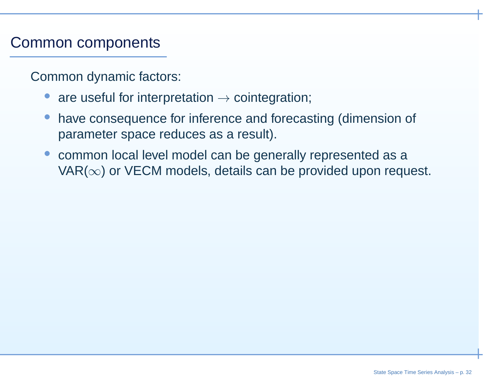### Common components

Common dynamic factors:

- •● are useful for interpretation → cointegration;
- • have consequence for inference and forecasting (dimension of parameter space reduces as <sup>a</sup> result).
- • common local level model can be generally represented as <sup>a</sup>VAR( $\infty$ ) or VECM models, details can be provided upon request.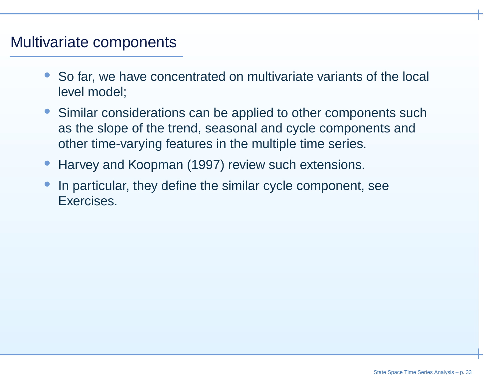### Multivariate components

- • So far, we have concentrated on multivariate variants of the local level model;
- • Similar considerations can be applied to other components suchas the slope of the trend, seasonal and cycle components andother time-varying features in the multiple time series.
- •Harvey and Koopman (1997) review such extensions.
- • In particular, they define the similar cycle component, seeExercises.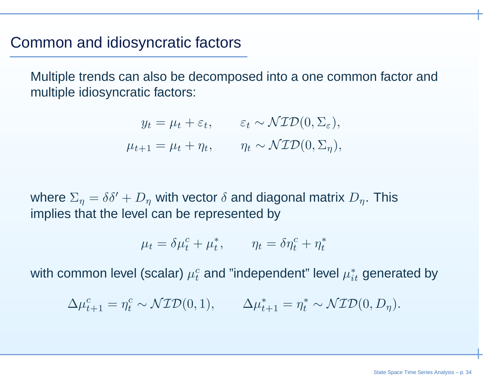#### Common and idiosyncratic factors

Multiple trends can also be decomposed into <sup>a</sup> one common factor andmultiple idiosyncratic factors:

$$
y_t = \mu_t + \varepsilon_t, \qquad \varepsilon_t \sim \mathcal{NID}(0, \Sigma_{\varepsilon}),
$$
  

$$
\mu_{t+1} = \mu_t + \eta_t, \qquad \eta_t \sim \mathcal{NID}(0, \Sigma_{\eta}),
$$

where  $\Sigma_{\eta} = \delta \delta' + D_{\eta}$  with vector  $\delta$  and diagonal matrix  $D_{\eta}$ . This implies that the level can be represented by

$$
\mu_t = \delta \mu_t^c + \mu_t^*, \qquad \eta_t = \delta \eta_t^c + \eta_t^*
$$

with common level (scalar)  $\mu_t^c$  $_t^c$  and "independent" level  $\mu_i^*$  $_{it}^{\ast}$  generated by

 $\Delta\mu^c_t$  $\frac{c}{t+1}=\eta^c_t$  t $\mathcal{L}_t^c \sim \mathcal{NID}(0,1), \qquad \Delta \mu_t^*$  $t_{t+1}^*=\eta_t^*$  t $v_t^* \sim \mathcal{NID}(0, D)$  $_{\eta}).$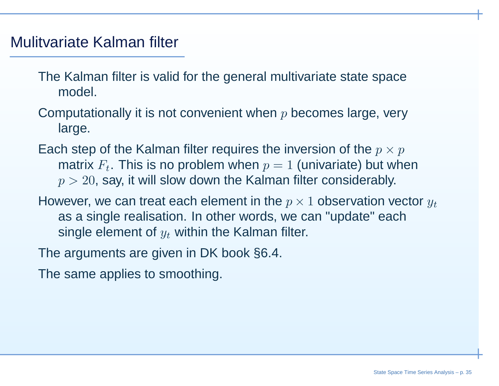### Mulitvariate Kalman filter

- The Kalman filter is valid for the general multivariate state space model.
- Computationally it is not convenient when  $p$  becomes large, very large.
- Each step of the Kalman filter requires the inversion of the  $p \times p$ <br>metrix  $E$  . This is no problem when  $x = 1$  (univeriate) but wh matrix  $F_t$ . This is no problem when  $p=1$  (univariate) but when  $\displaystyle{p>20,}$  say, it will slow down the Kalman filter considerably.
- However, we can treat each element in the  $p \times 1$  observation vector  $y_t$ as <sup>a</sup> single realisation. In other words, we can "update" eachsingle element of  $y_t$  within the Kalman filter.
- The arguments are given in DK book §6.4.
- The same applies to smoothing.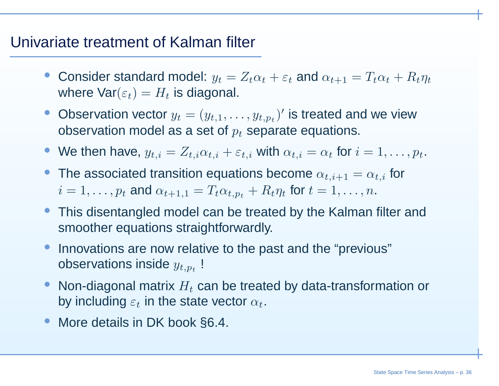### Univariate treatment of Kalman filter

- Consider standard model:  $y_t = Z_t\alpha_t + \varepsilon_t$  and  $\alpha_{t+1} = T_t\alpha_t + R_t\eta_t$ where  $\mathsf{Var}(\varepsilon_t) = H_t$  is diagonal.
- Observation vector  $y_t$ observation model as a set of  $p_t$  separate equations.  $y_t = (y_{t,1}, \ldots, y_{t,p_t})'$  is treated and we view
- We then have,  $y_{t,i}=Z_{t,i}\alpha_{t,i}+\varepsilon_{t,i}$  with  $\alpha_{t,i}=\alpha_t$  for  $i=1,\ldots,p_t.$
- The associated transition equations become  $\alpha_{t,i+1}=\alpha_{t,i}$  for  $i=1,\ldots,p_t$  and  $\alpha_{t+1,1}=T_t\alpha_{t,p_t}+R_t\eta_t$  for  $t=1,\ldots,n.$
- This disentangled model can be treated by the Kalman filter andsmoother equations straightforwardly.
- • Innovations are now relative to the past and the "previous"observations inside  $y_{t,p_{\bm t}}$ !
- • $\bullet\,$  Non-diagonal matrix  $H_t$  can be treated by data-transformation or by including  $\varepsilon_t$  in the state vector  $\alpha_t.$
- •More details in DK book §6.4.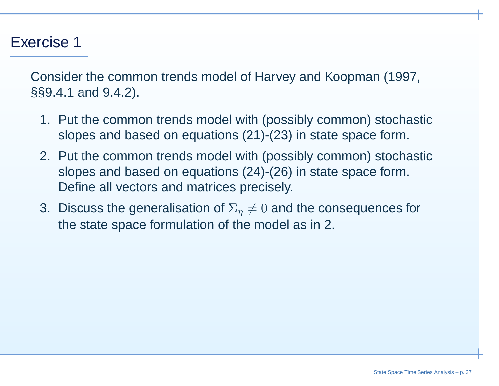### Exercise 1

Consider the common trends model of Harvey and Koopman (1997, §§9.4.1 and 9.4.2).

- 1. Put the common trends model with (possibly common) stochasticslopes and based on equations (21)-(23) in state space form.
- 2. Put the common trends model with (possibly common) stochasticslopes and based on equations (24)-(26) in state space form. Define all vectors and matrices precisely.
- 3. Discuss the generalisation of  $\Sigma_\eta\neq 0$  and the consequences for the state space formulation of the model as in 2.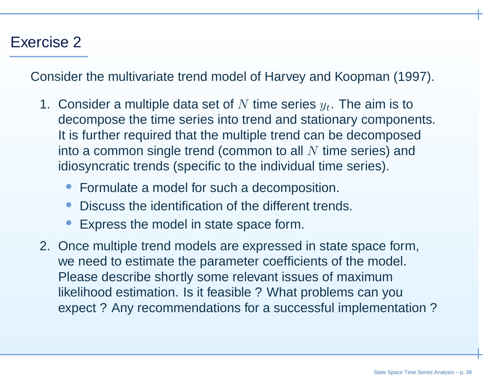## Exercise 2

Consider the multivariate trend model of Harvey and Koopman (1997).

- 1. Consider a multiple data set of  $N$  time series  $y_t$ . The aim is to decompose the time series into trend and atotionery compone decompose the time series into trend and stationary components. It is further required that the multiple trend can be decomposedinto a common single trend (common to all  $N$  time series) and<br>idiographic trends (specific to the individual time ceries) idiosyncratic trends (specific to the individual time series).
	- •Formulate <sup>a</sup> model for such <sup>a</sup> decomposition.
	- •Discuss the identification of the different trends.
	- •Express the model in state space form.
- 2. Once multiple trend models are expressed in state space form, we need to estimate the parameter coefficients of the model. Please describe shortly some relevant issues of maximum likelihood estimation. Is it feasible ? What problems can youexpect ? Any recommendations for <sup>a</sup> successful implementation ?